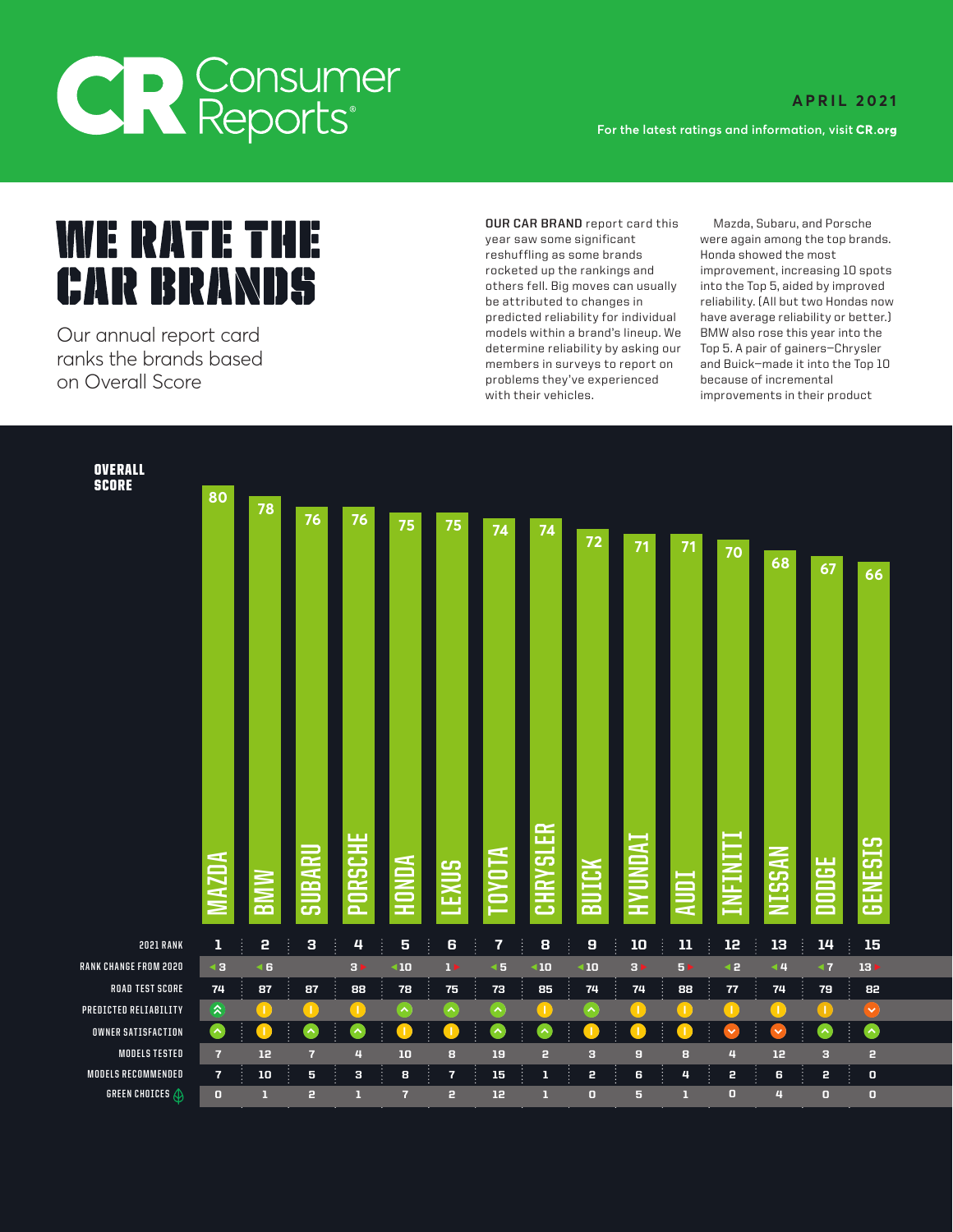## **CR** Consumer

**A P R I L 2 0 2 1 For the latest ratings and information, visit** 

**WE RATE THE** 

Our annual report card models within a brand's lineup. We BMW also rose this year into the determine reliability by asking our Top 5. A pair of gainers—Chrysler ranks the brands based members in surveys to report on and Buick—made it into the Top 10

**OVERALL SCORE** 

year saw some significant rocketed up the rankings and improvement, increasing 10 spots **1:,1111111111111**  reshuffling as some brands Honda showed the most on Overall Score **problems they've experienced** because of incremental problems they've experienced because of incremental in their problems they've experienced because of incremental in their problems of increments in the

**OUR CAR BRAND** report card this Mazda, Subaru, and Porsche were again among the top brands. into the Top 5, aided by improved reliability. (All but two Hondas now have average reliability or better.) improvements in their product

| <b>SCORE</b>                               | 80                               |                        |                     |                          |                                               |                               |                       |                         |                              |                          |                   |                |                        |                                         |                                      |  |
|--------------------------------------------|----------------------------------|------------------------|---------------------|--------------------------|-----------------------------------------------|-------------------------------|-----------------------|-------------------------|------------------------------|--------------------------|-------------------|----------------|------------------------|-----------------------------------------|--------------------------------------|--|
|                                            |                                  | 78                     | 76                  | 76 <sub>2</sub>          | 75                                            | 75                            | 74                    | 74                      | 72                           | 71                       | 71                | 70             | 68                     | 67                                      | 66                                   |  |
|                                            | <b>MAZDA</b>                     | <b>MINB</b>            | IBARU<br>긂          | <b>ORSCHE</b><br>Ó       | <b>AUNO</b><br>œ<br>Ĩ                         | <b>EXUS</b>                   | <b>DYOTA</b><br>ш,    | <b>HRYSLER</b><br>దె    | BUICK                        | <b>HYUNDAI</b><br>÷<br>r | <b>AUDI</b>       | <b>INFINIT</b> | <b>NISSAN</b>          | <b>ODGE</b><br>$\overline{\phantom{m}}$ | <b>GENESIS</b>                       |  |
| 2021 RANK<br>RANK CHANGE FROM 2020         | $\mathbf 1$<br>∢3                | 2<br>$\triangleleft 6$ | $\mathbf 3$<br>Ť    | 4<br>j<br>3 <sub>5</sub> | $\overline{\mathbf{5}}$<br>$\triangleleft 10$ | ĵ.<br>6<br>$1 \triangleright$ | 7                     | 8<br>$\triangleleft 10$ | Ť<br>9<br>$\triangleleft 10$ | ${\bf 10}$               | ${\bf 11}$        | 12             | 13<br>Ť                | 14                                      | 15<br>÷                              |  |
| <b>ROAD TEST SCORE</b>                     |                                  |                        |                     |                          |                                               |                               | $\triangleleft 5$     |                         |                              | $3 \triangleright$       | 5 <sub>&gt;</sub> | 42             | $\blacktriangleleft$ 4 | $\blacktriangleleft$ 7                  | $13 \triangleright$                  |  |
| PREDICTED RELIABILITY                      | 74                               | 87<br>T                | 87                  | 88                       | 78                                            | 75                            | 73                    | 85                      | 74                           | 74                       | 88                | ${\bf 77}$     | 74                     | ${\bf 79}$                              | 82                                   |  |
|                                            | $\hat{\bm{\lambda}}$             |                        |                     | -1                       | ᄉ                                             | ᄾ                             | $\boldsymbol{\wedge}$ | Т.                      | $\hat{\phantom{a}}$          |                          |                   | п.             | -1                     |                                         | $\checkmark$                         |  |
| OWNER SATISFACTION                         | ◙                                |                        | ᄉ                   | ∼                        |                                               |                               |                       |                         |                              |                          |                   | ×              | $\checkmark$           | $\boldsymbol{\wedge}$                   | $\left  \boldsymbol{\wedge} \right $ |  |
| <b>MODELS TESTED</b><br>MODELS RECOMMENDED | $\overline{7}$<br>$\overline{7}$ | 12<br>10               | $\overline{7}$<br>5 | 4<br>з                   | 10<br>8                                       | 8<br>$\overline{\mathbf{r}}$  | 19<br>15              | 2<br>$\mathbf{1}$       | 3<br>2                       | $\overline{a}$<br>6      | 8<br>4            | 4<br>2         | 12<br>6                | 3<br>2                                  | $\mathbf{r}$<br>$\mathbf{0}$         |  |
| <b>GREEN CHOICES</b> $\bigoplus$           | $\bullet$                        | п                      | 2                   | г                        | $\overline{7}$                                | $\mathbf{r}$                  | 12                    | п                       | $\bullet$                    | 5                        | ı                 | $\bullet$      | 4                      | $\overline{\mathbf{0}}$                 | $\bullet$                            |  |
|                                            |                                  |                        |                     |                          |                                               |                               |                       |                         |                              |                          |                   |                |                        |                                         |                                      |  |